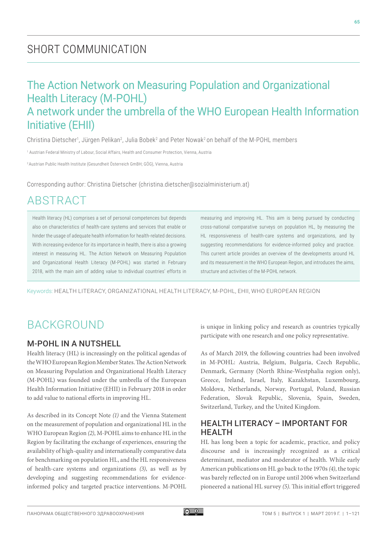# SHORT COMMUNICATION

## The Action Network on Measuring Population and Organizational Health Literacy (M-POHL) A network under the umbrella of the WHO European Health Information Initiative (EHII)

Christina Dietscher<sup>1</sup>, Jürgen Pelikan<sup>2</sup>, Julia Bobek<sup>2</sup> and Peter Nowak<sup>2</sup> on behalf of the M-POHL members

1 Austrian Federal Ministry of Labour, Social Affairs, Health and Consumer Protection, Vienna, Austria

2 Austrian Public Health Institute (Gesundheit Österreich GmBH; GÖG), Vienna, Austria

Corresponding author: Christina Dietscher [\(christina.dietscher@sozialministerium.at\)](mailto:christina.dietscher@sozialministerium.at)

# ABSTRACT

Health literacy (HL) comprises a set of personal competences but depends also on characteristics of health-care systems and services that enable or hinder the usage of adequate health information for health-related decisions. With increasing evidence for its importance in health, there is also a growing interest in measuring HL. The Action Network on Measuring Population and Organizational Health Literacy (M-POHL) was started in February 2018, with the main aim of adding value to individual countries' efforts in measuring and improving HL. This aim is being pursued by conducting cross-national comparative surveys on population HL, by measuring the HL responsiveness of health-care systems and organizations, and by suggesting recommendations for evidence-informed policy and practice. This current article provides an overview of the developments around HL and its measurement in the WHO European Region, and introduces the aims, structure and activities of the M-POHL network.

Keywords: HEALTH LITERACY, ORGANIZATIONAL HEALTH LITERACY, M-POHL, EHII, WHO EUROPEAN REGION

## **BACKGROUND**

#### M-POHL IN A NUTSHELL

Health literacy (HL) is increasingly on the political agendas of the WHO European Region Member States. The Action Network on Measuring Population and Organizational Health Literacy (M-POHL) was founded under the umbrella of the European Health Information Initiative (EHII) in February 2018 in order to add value to national efforts in improving HL.

As described in its Concept Note *(1)* and the Vienna Statement on the measurement of population and organizational HL in the WHO European Region *(2)*, M-POHL aims to enhance HL in the Region by facilitating the exchange of experiences, ensuring the availability of high-quality and internationally comparative data for benchmarking on population HL, and the HL responsiveness of health-care systems and organizations *(3)*, as well as by developing and suggesting recommendations for evidenceinformed policy and targeted practice interventions. M-POHL is unique in linking policy and research as countries typically participate with one research and one policy representative.

As of March 2019, the following countries had been involved in M-POHL: Austria, Belgium, Bulgaria, Czech Republic, Denmark, Germany (North Rhine-Westphalia region only), Greece, Ireland, Israel, Italy, Kazakhstan, Luxembourg, Moldova, Netherlands, Norway, Portugal, Poland, Russian Federation, Slovak Republic, Slovenia, Spain, Sweden, Switzerland, Turkey, and the United Kingdom.

#### HEALTH LITERACY – IMPORTANT FOR HEALTH

HL has long been a topic for academic, practice, and policy discourse and is increasingly recognized as a critical determinant, mediator and moderator of health. While early American publications on HL go back to the 1970s *(4)*, the topic was barely reflected on in Europe until 2006 when Switzerland pioneered a national HL survey *(5)*. This initial effort triggered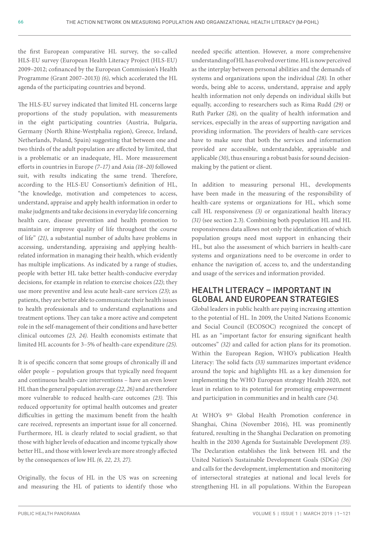the first European comparative HL survey, the so-called HLS-EU survey (European Health Literacy Project (HLS-EU) 2009–2012; cofinanced by the European Commission's Health Programme (Grant 2007–2013)) *(6)*, which accelerated the HL agenda of the participating countries and beyond.

The HLS-EU survey indicated that limited HL concerns large proportions of the study population, with measurements in the eight participating countries (Austria, Bulgaria, Germany (North Rhine-Westphalia region), Greece, Ireland, Netherlands, Poland, Spain) suggesting that between one and two thirds of the adult population are affected by limited, that is a problematic or an inadequate, HL. More measurement efforts in countries in Europe *(7–17)* and Asia *(18–20)* followed suit, with results indicating the same trend. Therefore, according to the HLS-EU Consortium's definition of HL, "the knowledge, motivation and competences to access, understand, appraise and apply health information in order to make judgments and take decisions in everyday life concerning health care, disease prevention and health promotion to maintain or improve quality of life throughout the course of life" *(21)*, a substantial number of adults have problems in accessing, understanding, appraising and applying healthrelated information in managing their health, which evidently has multiple implications. As indicated by a range of studies, people with better HL take better health-conducive everyday decisions, for example in relation to exercise choices *(22)*; they use more preventive and less acute healt-care services *(23)*; as patients, they are better able to communicate their health issues to health professionals and to understand explanations and treatment options. They can take a more active and competent role in the self-management of their conditions and have better clinical outcomes *(23, 24)*. Health economists estimate that limited HL accounts for 3–5% of health-care expenditure *(25)*.

It is of specific concern that some groups of chronically ill and older people – population groups that typically need frequent and continuous health-care interventions – have an even lower HL than the general population average *(22, 26)* and are therefore more vulnerable to reduced health-care outcomes *(23)*. This reduced opportunity for optimal health outcomes and greater difficulties in getting the maximum benefit from the health care received, represents an important issue for all concerned. Furthermore, HL is clearly related to social gradient, so that those with higher levels of education and income typically show better HL, and those with lower levels are more strongly affected by the consequences of low HL *(6, 22, 23, 27)*.

Originally, the focus of HL in the US was on screening and measuring the HL of patients to identify those who

needed specific attention. However, a more comprehensive understanding of HL has evolved over time. HL is now perceived as the interplay between personal abilities and the demands of systems and organizations upon the individual *(28)*. In other words, being able to access, understand, appraise and apply health information not only depends on individual skills but equally, according to researchers such as Rima Rudd *(29)* or Ruth Parker *(28)*, on the quality of health information and services, especially in the areas of supporting navigation and providing information. The providers of health-care services have to make sure that both the services and information provided are accessible, understandable, appraisable and applicable *(30)*, thus ensuring a robust basis for sound decisionmaking by the patient or client.

In addition to measuring personal HL, developments have been made in the measuring of the responsibility of health-care systems or organizations for HL, which some call HL responsiveness *(3)* or organizational health literacy *(31)* (see section 2.3). Combining both population HL and HL responsiveness data allows not only the identification of which population groups need most support in enhancing their HL, but also the assessment of which barriers in health-care systems and organizations need to be overcome in order to enhance the navigation of, access to, and the understanding and usage of the services and information provided.

#### HEALTH LITERACY – IMPORTANT IN GLOBAL AND EUROPEAN STRATEGIES

Global leaders in public health are paying increasing attention to the potential of HL. In 2009, the United Nations Economic and Social Council (ECOSOC) recognized the concept of HL as an "important factor for ensuring significant health outcomes" *(32)* and called for action plans for its promotion. Within the European Region, WHO's publication Health Literacy: The solid facts *(33)* summarizes important evidence around the topic and highlights HL as a key dimension for implementing the WHO European strategy Health 2020, not least in relation to its potential for promoting empowerment and participation in communities and in health care *(34)*.

At WHO's 9th Global Health Promotion conference in Shanghai, China (November 2016), HL was prominently featured, resulting in the Shanghai Declaration on promoting health in the 2030 Agenda for Sustainable Development *(35)*. The Declaration establishes the link between HL and the United Nation's Sustainable Development Goals (SDGs) *(36)* and calls for the development, implementation and monitoring of intersectoral strategies at national and local levels for strengthening HL in all populations. Within the European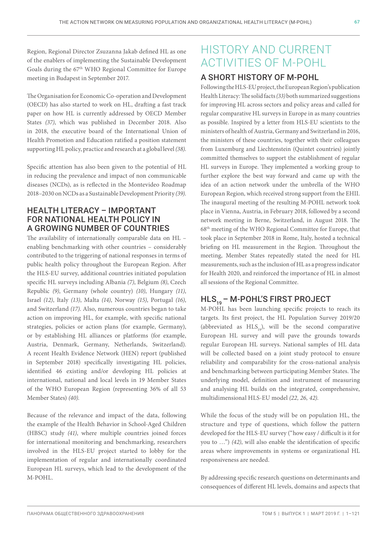Region, Regional Director Zsuzanna Jakab defined HL as one of the enablers of implementing the Sustainable Development Goals during the 67th WHO Regional Committee for Europe meeting in Budapest in September 2017.

The Organisation for Economic Co-operation and Development (OECD) has also started to work on HL, drafting a fast track paper on how HL is currently addressed by OECD Member States *(37)*, which was published in December 2018. Also in 2018, the executive board of the International Union of Health Promotion and Education ratified a position statement supporting HL policy, practice and research at a global level *(38)*.

Specific attention has also been given to the potential of HL in reducing the prevalence and impact of non communicable diseases (NCDs), as is reflected in the Montevideo Roadmap 2018–2030 on NCDs as a Sustainable Development Priority *(39)*.

#### HEALTH LITERACY – IMPORTANT FOR NATIONAL HEALTH POLICY IN A GROWING NUMBER OF COUNTRIES

The availability of internationally comparable data on HL – enabling benchmarking with other countries – considerably contributed to the triggering of national responses in terms of public health policy throughout the European Region. After the HLS-EU survey, additional countries initiated population specific HL surveys including Albania *(7)*, Belgium *(8)*, Czech Republic *(9)*, Germany (whole country) *(10)*, Hungary *(11)*, Israel *(12)*, Italy *(13)*, Malta *(14)*, Norway *(15)*, Portugal *(16)*, and Switzerland *(17)*. Also, numerous countries began to take action on improving HL, for example, with specific national strategies, policies or action plans (for example, Germany), or by establishing HL alliances or platforms (for example, Austria, Denmark, Germany, Netherlands, Switzerland). A recent Health Evidence Network (HEN) report (published in September 2018) specifically investigating HL policies, identified 46 existing and/or developing HL policies at international, national and local levels in 19 Member States of the WHO European Region (representing 36% of all 53 Member States) *(40)*.

Because of the relevance and impact of the data, following the example of the Health Behavior in School-Aged Children (HBSC) study *(41)*, where multiple countries joined forces for international monitoring and benchmarking, researchers involved in the HLS-EU project started to lobby for the implementation of regular and internationally coordinated European HL surveys, which lead to the development of the M-POHL.

# HISTORY AND CURRENT ACTIVITIES OF M-POHL

### A SHORT HISTORY OF M-POHL

Following the HLS-EU project, the European Region's publication Health Literacy: The solid facts *(33)* both summarized suggestions for improving HL across sectors and policy areas and called for regular comparative HL surveys in Europe in as many countries as possible. Inspired by a letter from HLS-EU scientists to the ministers of health of Austria, Germany and Switzerland in 2016, the ministers of these countries, together with their colleagues from Luxemburg and Liechtenstein (Quintet countries) jointly committed themselves to support the establishment of regular HL surveys in Europe. They implemented a working group to further explore the best way forward and came up with the idea of an action network under the umbrella of the WHO European Region, which received strong support from the EHII. The inaugural meeting of the resulting M-POHL network took place in Vienna, Austria, in February 2018, followed by a second network meeting in Berne, Switzerland, in August 2018. The 68th meeting of the WHO Regional Committee for Europe, that took place in September 2018 in Rome, Italy, hosted a technical briefing on HL measurement in the Region. Throughout the meeting, Member States repeatedly stated the need for HL measurements, such as the inclusion of HL as a progress indicator for Health 2020, and reinforced the importance of HL in almost all sessions of the Regional Committee.

### HLS<sub>10</sub> – M-POHL'S FIRST PROJECT

M-POHL has been launching specific projects to reach its targets. Its first project, the HL Population Survey 2019/20 (abbreviated as  $HLS_{10}$ ), will be the second comparative European HL survey and will pave the grounds towards regular European HL surveys. National samples of HL data will be collected based on a joint study protocol to ensure reliability and comparability for the cross-national analysis and benchmarking between participating Member States. The underlying model, definition and instrument of measuring and analysing HL builds on the integrated, comprehensive, multidimensional HLS-EU model *(22, 26, 42)*.

While the focus of the study will be on population HL, the structure and type of questions, which follow the pattern developed for the HLS-EU survey ("how easy / difficult is it for you to …") *(42)*, will also enable the identification of specific areas where improvements in systems or organizational HL responsiveness are needed.

By addressing specific research questions on determinants and consequences of different HL levels, domains and aspects that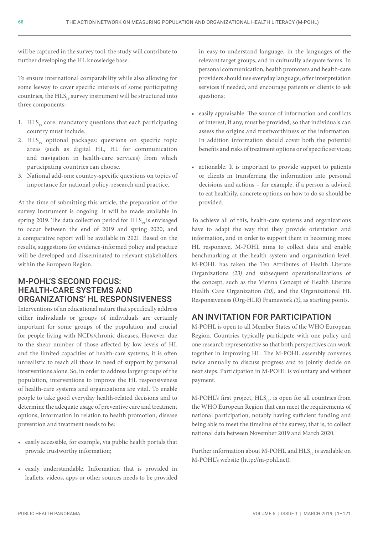will be captured in the survey tool, the study will contribute to further developing the HL knowledge base.

To ensure international comparability while also allowing for some leeway to cover specific interests of some participating countries, the  $HLS<sub>19</sub>$  survey instrument will be structured into three components:

- 1.  $HLS<sub>10</sub>$  core: mandatory questions that each participating country must include.
- 2.  $HLS_{19}$  optional packages: questions on specific topic areas (such as digital HL, HL for communication and navigation in health-care services) from which participating countries can choose.
- 3. National add-ons: country-specific questions on topics of importance for national policy, research and practice.

At the time of submitting this article, the preparation of the survey instrument is ongoing. It will be made available in spring 2019. The data collection period for  $HLS<sub>0</sub>$  is envisaged to occur between the end of 2019 and spring 2020, and a comparative report will be available in 2021. Based on the results, suggestions for evidence-informed policy and practice will be developed and disseminated to relevant stakeholders within the European Region.

### M-POHL'S SECOND FOCUS: HEALTH-CARE SYSTEMS AND ORGANIZATIONS' HL RESPONSIVENESS

Interventions of an educational nature that specifically address either individuals or groups of individuals are certainly important for some groups of the population and crucial for people living with NCDs/chronic diseases. However, due to the shear number of those affected by low levels of HL and the limited capacities of health-care systems, it is often unrealistic to reach all those in need of support by personal interventions alone. So, in order to address larger groups of the population, interventions to improve the HL responsiveness of health-care systems and organizations are vital. To enable people to take good everyday health-related decisions and to determine the adequate usage of preventive care and treatment options, information in relation to health promotion, disease prevention and treatment needs to be:

- easily accessible, for example, via public health portals that provide trustworthy information;
- easily understandable. Information that is provided in leaflets, videos, apps or other sources needs to be provided

in easy-to-understand language, in the languages of the relevant target groups, and in culturally adequate forms. In personal communication, health promoters and health-care providers should use everyday language, offer interpretation services if needed, and encourage patients or clients to ask questions;

- easily appraisable. The source of information and conflicts of interest, if any, must be provided, so that individuals can assess the origins and trustworthiness of the information. In addition information should cover both the potential benefits and risks of treatment options or of specific services;
- actionable. It is important to provide support to patients or clients in transferring the information into personal decisions and actions – for example, if a person is advised to eat healthily, concrete options on how to do so should be provided.

To achieve all of this, health-care systems and organizations have to adapt the way that they provide orientation and information, and in order to support them in becoming more HL responsive, M-POHL aims to collect data and enable benchmarking at the health system and organization level. M-POHL has taken the Ten Attributes of Health Literate Organizations *(23)* and subsequent operationalizations of the concept, such as the Vienna Concept of Health Literate Health Care Organization *(30)*, and the Organizational HL Responsiveness (Org-HLR) Framework *(3)*, as starting points.

### AN INVITATION FOR PARTICIPATION

M-POHL is open to all Member States of the WHO European Region. Countries typically participate with one policy and one research representative so that both perspectives can work together in improving HL. The M-POHL assembly convenes twice annually to discuss progress and to jointly decide on next steps. Participation in M-POHL is voluntary and without payment.

M-POHL's first project,  $HLS_{10}$ , is open for all countries from the WHO European Region that can meet the requirements of national participation, notably having sufficient funding and being able to meet the timeline of the survey, that is, to collect national data between November 2019 and March 2020.

Further information about M-POHL and HLS<sub>10</sub> is available on M-POHL's website ([http://m-pohl.net\)](http://m-pohl.net).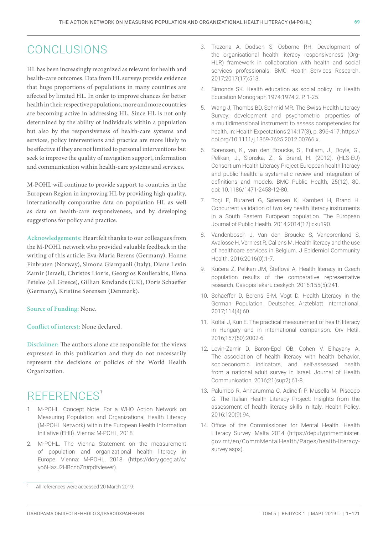## CONCLUSIONS

HL has been increasingly recognized as relevant for health and health-care outcomes. Data from HL surveys provide evidence that huge proportions of populations in many countries are affected by limited HL. In order to improve chances for better health in their respective populations, more and more countries are becoming active in addressing HL. Since HL is not only determined by the ability of individuals within a population but also by the responsiveness of health-care systems and services, policy interventions and practice are more likely to be effective if they are not limited to personal interventions but seek to improve the quality of navigation support, information and communication within health-care systems and services.

M-POHL will continue to provide support to countries in the European Region in improving HL by providing high quality, internationally comparative data on population HL as well as data on health-care responsiveness, and by developing suggestions for policy and practice.

**Acknowledgements:** Heartfelt thanks to our colleagues from the M-POHL network who provided valuable feedback in the writing of this article: Eva-Maria Berens (Germany), Hanne Finbraten (Norway), Simona Giampaoli (Italy), Diane Levin Zamir (Israel), Christos Lionis, Georgios Koulierakis, Elena Petelos (all Greece), Gillian Rowlands (UK), Doris Schaeffer (Germany), Kristine Sørensen (Denmark).

**Source of Funding:** None.

**Conflict of interest:** None declared.

**Disclaimer:** The authors alone are responsible for the views expressed in this publication and they do not necessarily represent the decisions or policies of the World Health Organization.

# REFERENCES<sup>1</sup>

- 1. M-POHL. Concept Note. For a WHO Action Network on Measuring Population and Organizational Health Literacy (M-POHL Network) within the European Health Information Initiative (EHII). Vienna: M-POHL, 2018.
- 2. M-POHL. The Vienna Statement on the measurement of population and organizational health literacy in Europe. Vienna: M-POHL, 2018. ([https://dory.goeg.at/s/](https://dory.goeg.at/s/yo6HazJ2HBcnbZn#pdfviewer) [yo6HazJ2HBcnbZn#pdfviewer](https://dory.goeg.at/s/yo6HazJ2HBcnbZn#pdfviewer)).
- 3. Trezona A, Dodson S, Osborne RH. Development of the organisational health literacy responsiveness (Org-HLR) framework in collaboration with health and social services professionals. BMC Health Services Research. 2017;2017(17):513.
- 4. Simonds SK. Health education as social policy. In: Health Education Monograph 1974;1974:2. P. 1-25.
- 5. Wang J, Thombs BD, Schmid MR. The Swiss Health Literacy Survey: development and psychometric properties of a multidimensional instrument to assess competencies for health. In: Health Expectations 214:17(3), p. 396-417; [https://](https://doi.org/10.1111/j.1369-7625.2012.00766.x) [doi.org/10.1111/j.1369-7625.2012.00766.x](https://doi.org/10.1111/j.1369-7625.2012.00766.x).
- 6. Sorensen, K., van den Broucke, S., Fullam, J., Doyle, G., Pelikan, J., Slonska, Z., & Brand, H. (2012). (HLS-EU) Consortium Health Literacy Project European health literacy and public health: a systematic review and integration of definitions and models. BMC Public Health, 25(12), 80. doi: 10.1186/1471-2458-12-80.
- 7. Toçi E, Burazeri G, Sørensen K, Kamberi H, Brand H. Concurrent validation of two key health literacy instruments in a South Eastern European population. The European Journal of Public Health. 2014;2014(12):cku190.
- 8. Vandenbosch J, Van den Broucke S, Vancorenland S, Avalosse H, Verniest R, Callens M. Health literacy and the use of healthcare services in Belgium. J Epidemiol Community Health. 2016;2016(0):1-7.
- 9. Kučera Z, Pelikan JM, Šteflová A. Health literacy in Czech population results of the comparative representative research. Casopis lekaru ceskych. 2016;155(5):241.
- 10. Schaeffer D, Berens E-M, Vogt D. Health Literacy in the German Population. Deutsches Arzteblatt international. 2017;114(4):60.
- 11. Koltai J, Kun E. The practical measurement of health literacy in Hungary and in international comparison. Orv Hetil. 2016;157(50):2002-6.
- 12. Levin-Zamir D, Baron-Epel OB, Cohen V, Elhayany A. The association of health literacy with health behavior, socioeconomic indicators, and self-assessed health from a national adult survey in Israel. Journal of Health Communication. 2016;21(sup2):61-8.
- 13. Palumbo R, Annarumma C, Adinolfi P, Musella M, Piscopo G. The Italian Health Literacy Project: Insights from the assessment of health literacy skills in Italy. Health Policy. 2016;120(9):94.
- 14. Office of the Commissioner for Mental Health. Health Literacy Survey. Malta 2014 ([https://deputyprimeminister.](https://deputyprimeminister.gov.mt/en/CommMentalHealth/Pages/health-literacy-survey.aspx) [gov.mt/en/CommMentalHealth/Pages/health-literacy](https://deputyprimeminister.gov.mt/en/CommMentalHealth/Pages/health-literacy-survey.aspx)[survey.aspx](https://deputyprimeminister.gov.mt/en/CommMentalHealth/Pages/health-literacy-survey.aspx)).

All references were accessed 20 March 2019.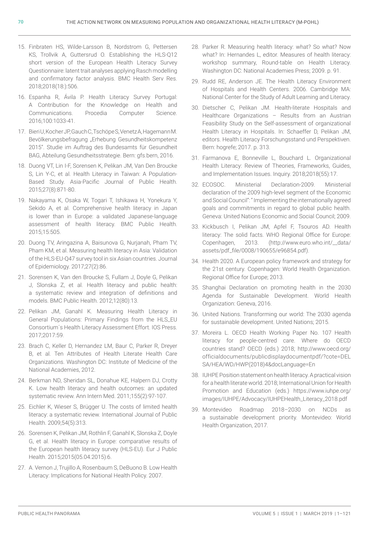- 15. Finbraten HS, Wilde-Larsson B, Nordstrom G, Pettersen KS, Trollvik A, Guttersrud O. Establishing the HLS-Q12 short version of the European Health Literacy Survey Questionnaire: latent trait analyses applying Rasch modelling and confirmatory factor analysis. BMC Health Serv Res. 2018;2018(18:):506.
- 16. Espanha R, Ávila P. Health Literacy Survey Portugal: A Contribution for the Knowledge on Health and Communications. Procedia Computer Science. 2016;100:1033-41.
- 17. Bieri U, Kocher JP, Gauch C, Tschöpe S, Venetz A, Hagemann M. Bevölkerungsbefragung "Erhebung Gesundheitskompetenz 2015". Studie im Auftrag des Bundesamts für Gesundheit BAG, Abteilung Gesundheitsstrategie. Bern: gfs.bern, 2016.
- 18. Duong VT, Lin I-F, Sorensen K, Pelikan JM, Van Den Broucke S, Lin Y-C, et al. Health Literacy in Taiwan: A Population-Based Study. Asia-Pacific Journal of Public Health. 2015;27(8):871-80.
- 19. Nakayama K, Osaka W, Togari T, Ishikawa H, Yonekura Y, Sekido A, et al. Comprehensive health literacy in Japan is lower than in Europe: a validated Japanese-language assessment of health literacy. BMC Public Health. 2015;15:505.
- 20. Duong TV, Aringazina A, Baisunova G, Nurjanah, Pham TV, Pham KM, et al. Measuring health literacy in Asia: Validation of the HLS-EU-Q47 survey tool in six Asian countries. Journal of Epidemiology. 2017;27(2):86.
- 21. Sorensen K, Van den Broucke S, Fullam J, Doyle G, Pelikan J, Slonska Z, et al. Health literacy and public health: a systematic review and integration of definitions and models. BMC Public Health. 2012;12(80):13.
- 22. Pelikan JM, Ganahl K. Measuring Health Literacy in General Populations: Primary Findings from the HLS\_EU Consortium´s Health Literacy Assessment Effort. IOS Press. 2017;2017:59.
- 23. Brach C, Keller D, Hernandez LM, Baur C, Parker R, Dreyer B, et al. Ten Attributes of Health Literate Health Care Organizations. Washington DC: Institute of Medicine of the National Academies, 2012.
- 24. Berkman ND, Sheridan SL, Donahue KE, Halpern DJ, Crotty K. Low health literacy and health outcomes: an updated systematic review. Ann Intern Med. 2011;155(2):97-107.
- 25. Eichler K, Wieser S, Brügger U. The costs of limited health literacy: a systematic review. International Journal of Public Health. 2009;54(5):313.
- 26. Sorensen K, Pelikan JM, Rothlin F, Ganahl K, Slonska Z, Doyle G, et al. Health literacy in Europe: comparative results of the European health literacy survey (HLS-EU). Eur J Public Health. 2015;2015(05.04.2015):6.
- 27. A. Vernon J, Trujillo A, Rosenbaum S, DeBuono B. Low Health Literacy: Implications for National Health Policy. 2007.
- 28. Parker R. Measuring health literacy: what? So what? Now what? In: Hernandes L, editor. Measures of health literacy: workshop summary, Round-table on Health Literacy. Washington DC: National Academies Press; 2009. p. 91.
- 29. Rudd RE, Anderson JE. The Health Literacy Environment of Hospitals and Health Centers. 2006. Cambridge MA: National Center for the Study of Adult Learning and Literacy.
- 30. Dietscher C, Pelikan JM. Health-literate Hospitals and Healthcare Organizations – Results from an Austrian Feasibility Study on the Self-assessment of organizational Health Literacy in Hospitals. In: Schaeffer D, Pelikan JM, editors. Health Literacy Forschungsstand und Perspektiven. Bern: hogrefe; 2017. p. 313.
- 31. Farmanova E, Bonneville L, Bouchard L. Organizational Health Literacy: Review of Theories, Frameworks, Guides, and Implementation Issues. Inquiry. 2018;2018(55):17.
- 32. ECOSOC. Ministerial Declaration-2009. Ministerial declaration of the 2009 high-level segment of the Economic and Social Council": " Implementing the internationally agreed goals and commitments in regard to global public health. Geneva: United Nations Economic and Social Council; 2009.
- 33. Kickbusch I, Pelikan JM, Apfel F, Tsouros AD. Health literacy: The solid facts. WHO Regional Office for Europe: Copenhagen, 2013. [\(http://www.euro.who.int/\\_\\_data/](http://www.euro.who.int/__data/assets/pdf_file/0008/190655/e96854.pdf) [assets/pdf\\_file/0008/190655/e96854.pdf](http://www.euro.who.int/__data/assets/pdf_file/0008/190655/e96854.pdf)).
- 34. Health 2020. A European policy framework and strategy for the 21st century. Copenhagen: World Health Organization. Regional Office for Europe; 2013.
- 35. Shanghai Declaration on promoting health in the 2030 Agenda for Sustainable Development. World Health Organization: Geneva, 2016.
- 36. United Nations. Transforming our world: The 2030 agenda for sustainable development. United Nations; 2015.
- 37. Moreira L. OECD Health Working Paper No. 107 Health literacy for people-centred care. Where do OECD countries stand? OECD (eds.) 2018; [http://www.oecd.org/](http://www.oecd.org/officialdocuments/publicdisplaydocumentpdf/?cote=DELSA/HEA/WD/HWP(2018)4&docLanguage=En) [officialdocuments/publicdisplaydocumentpdf/?cote=DEL](http://www.oecd.org/officialdocuments/publicdisplaydocumentpdf/?cote=DELSA/HEA/WD/HWP(2018)4&docLanguage=En) [SA/HEA/WD/HWP\(2018\)4&docLanguage=En](http://www.oecd.org/officialdocuments/publicdisplaydocumentpdf/?cote=DELSA/HEA/WD/HWP(2018)4&docLanguage=En)
- 38. IUHPE Position statement on health literacy. A practical vision for a health literate world. 2018; International Union for Health Promotion and Education (eds.) [https://www.iuhpe.org/](https://www.iuhpe.org/images/IUHPE/Advocacy/IUHPEHealth_Literacy_2018.pdf) [images/IUHPE/Advocacy/IUHPEHealth\\_Literacy\\_2018.pdf](https://www.iuhpe.org/images/IUHPE/Advocacy/IUHPEHealth_Literacy_2018.pdf)
- 39. Montevideo Roadmap 2018–2030 on NCDs as a sustainable development priority. Montevideo: World Health Organization, 2017.